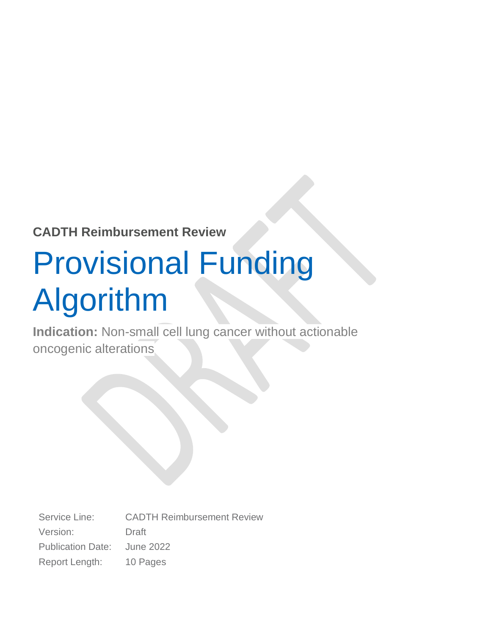#### **CADTH Reimbursement Review**

# Provisional Funding Algorithm

**Indication:** Non-small cell lung cancer without actionable oncogenic alterations

Service Line: CADTH Reimbursement Review Version: Draft Publication Date: June 2022 Report Length: 10 Pages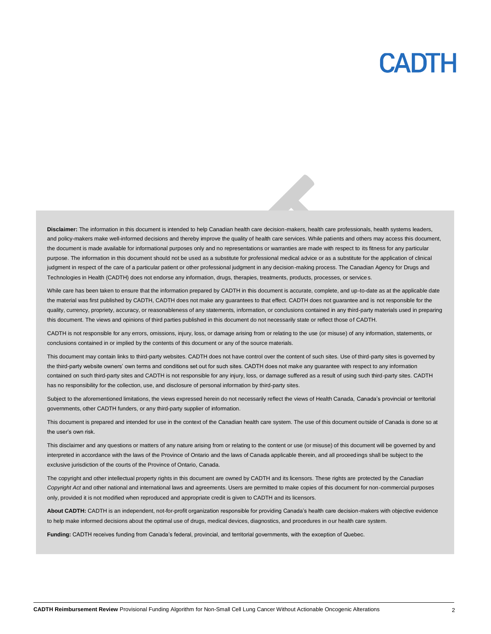Disclaimer: The information in this document is intended to help Canadian health care decision-makers, health care professionals, health systems leaders, and policy-makers make well-informed decisions and thereby improve the quality of health care services. While patients and others may access this document, the document is made available for informational purposes only and no representations or warranties are made with respect to its fitness for any particular purpose. The information in this document should not be used as a substitute for professional medical advice or as a substitute for the application of clinical judgment in respect of the care of a particular patient or other professional judgment in any decision-making process. The Canadian Agency for Drugs and Technologies in Health (CADTH) does not endorse any information, drugs, therapies, treatments, products, processes, or services.

While care has been taken to ensure that the information prepared by CADTH in this document is accurate, complete, and up-to-date as at the applicable date the material was first published by CADTH, CADTH does not make any guarantees to that effect. CADTH does not guarantee and is not responsible for the quality, currency, propriety, accuracy, or reasonableness of any statements, information, or conclusions contained in any third-party materials used in preparing this document. The views and opinions of third parties published in this document do not necessarily state or reflect those of CADTH.

CADTH is not responsible for any errors, omissions, injury, loss, or damage arising from or relating to the use (or misuse) of any information, statements, or conclusions contained in or implied by the contents of this document or any of the source materials.

This document may contain links to third-party websites. CADTH does not have control over the content of such sites. Use of third-party sites is governed by the third-party website owners' own terms and conditions set out for such sites. CADTH does not make any guarantee with respect to any information contained on such third-party sites and CADTH is not responsible for any injury, loss, or damage suffered as a result of using such third-party sites. CADTH has no responsibility for the collection, use, and disclosure of personal information by third-party sites.

Subject to the aforementioned limitations, the views expressed herein do not necessarily reflect the views of Health Canada, Canada's provincial or territorial governments, other CADTH funders, or any third-party supplier of information.

This document is prepared and intended for use in the context of the Canadian health care system. The use of this document outside of Canada is done so at the user's own risk.

This disclaimer and any questions or matters of any nature arising from or relating to the content or use (or misuse) of this document will be governed by and interpreted in accordance with the laws of the Province of Ontario and the laws of Canada applicable therein, and all proceedings shall be subject to the exclusive jurisdiction of the courts of the Province of Ontario, Canada.

The copyright and other intellectual property rights in this document are owned by CADTH and its licensors. These rights are protected by the *Canadian Copyright Act* and other national and international laws and agreements. Users are permitted to make copies of this document for non-commercial purposes only, provided it is not modified when reproduced and appropriate credit is given to CADTH and its licensors.

**About CADTH:** CADTH is an independent, not-for-profit organization responsible for providing Canada's health care decision-makers with objective evidence to help make informed decisions about the optimal use of drugs, medical devices, diagnostics, and procedures in our health care system.

**Funding:** CADTH receives funding from Canada's federal, provincial, and territorial governments, with the exception of Quebec.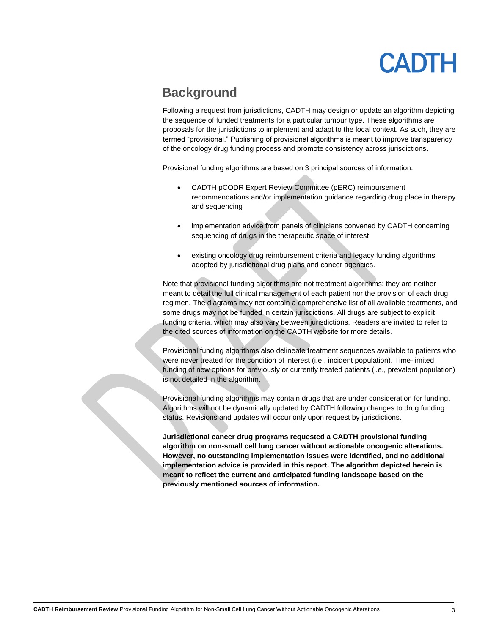#### **Background**

Following a request from jurisdictions, CADTH may design or update an algorithm depicting the sequence of funded treatments for a particular tumour type. These algorithms are proposals for the jurisdictions to implement and adapt to the local context. As such, they are termed "provisional." Publishing of provisional algorithms is meant to improve transparency of the oncology drug funding process and promote consistency across jurisdictions.

Provisional funding algorithms are based on 3 principal sources of information:

- CADTH pCODR Expert Review Committee (pERC) reimbursement recommendations and/or implementation guidance regarding drug place in therapy and sequencing
- implementation advice from panels of clinicians convened by CADTH concerning sequencing of drugs in the therapeutic space of interest
- existing oncology drug reimbursement criteria and legacy funding algorithms adopted by jurisdictional drug plans and cancer agencies.

Note that provisional funding algorithms are not treatment algorithms; they are neither meant to detail the full clinical management of each patient nor the provision of each drug regimen. The diagrams may not contain a comprehensive list of all available treatments, and some drugs may not be funded in certain jurisdictions. All drugs are subject to explicit funding criteria, which may also vary between jurisdictions. Readers are invited to refer to the cited sources of information on the CADTH website for more details.

Provisional funding algorithms also delineate treatment sequences available to patients who were never treated for the condition of interest (i.e., incident population). Time-limited funding of new options for previously or currently treated patients (i.e., prevalent population) is not detailed in the algorithm.

Provisional funding algorithms may contain drugs that are under consideration for funding. Algorithms will not be dynamically updated by CADTH following changes to drug funding status. Revisions and updates will occur only upon request by jurisdictions.

**Jurisdictional cancer drug programs requested a CADTH provisional funding algorithm on non-small cell lung cancer without actionable oncogenic alterations. However, no outstanding implementation issues were identified, and no additional implementation advice is provided in this report. The algorithm depicted herein is meant to reflect the current and anticipated funding landscape based on the previously mentioned sources of information.**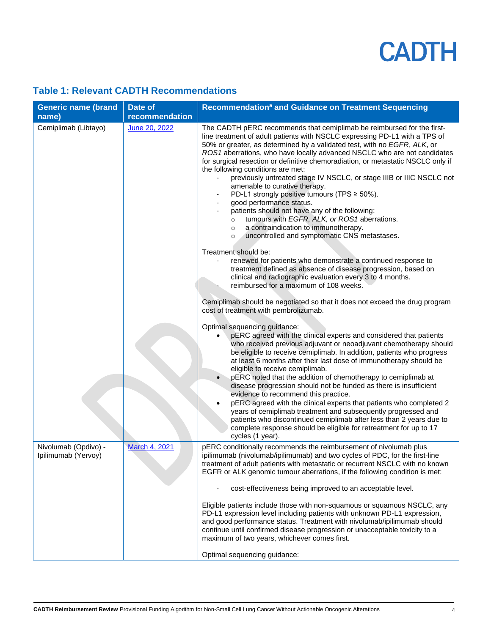#### **Table 1: Relevant CADTH Recommendations**

| <b>Generic name (brand</b><br>name)         | Date of<br>recommendation | Recommendation <sup>a</sup> and Guidance on Treatment Sequencing                                                                                                                                                                                                                                                                                                                                                                                                                                                                                                                                                                                                                                                                                                                                                                                                                                                                                                                                                                                                                                                           |
|---------------------------------------------|---------------------------|----------------------------------------------------------------------------------------------------------------------------------------------------------------------------------------------------------------------------------------------------------------------------------------------------------------------------------------------------------------------------------------------------------------------------------------------------------------------------------------------------------------------------------------------------------------------------------------------------------------------------------------------------------------------------------------------------------------------------------------------------------------------------------------------------------------------------------------------------------------------------------------------------------------------------------------------------------------------------------------------------------------------------------------------------------------------------------------------------------------------------|
| Cemiplimab (Libtayo)                        | June 20, 2022             | The CADTH pERC recommends that cemiplimab be reimbursed for the first-<br>line treatment of adult patients with NSCLC expressing PD-L1 with a TPS of<br>50% or greater, as determined by a validated test, with no EGFR, ALK, or<br>ROS1 aberrations, who have locally advanced NSCLC who are not candidates<br>for surgical resection or definitive chemoradiation, or metastatic NSCLC only if<br>the following conditions are met:<br>previously untreated stage IV NSCLC, or stage IIIB or IIIC NSCLC not<br>amenable to curative therapy.<br>PD-L1 strongly positive tumours (TPS $\geq$ 50%).<br>good performance status.<br>patients should not have any of the following:<br>tumours with EGFR, ALK, or ROS1 aberrations.<br>$\circ$<br>a contraindication to immunotherapy.<br>$\circ$<br>uncontrolled and symptomatic CNS metastases.<br>$\circ$<br>Treatment should be:<br>renewed for patients who demonstrate a continued response to<br>treatment defined as absence of disease progression, based on<br>clinical and radiographic evaluation every 3 to 4 months.<br>reimbursed for a maximum of 108 weeks. |
|                                             |                           | Cemiplimab should be negotiated so that it does not exceed the drug program<br>cost of treatment with pembrolizumab.                                                                                                                                                                                                                                                                                                                                                                                                                                                                                                                                                                                                                                                                                                                                                                                                                                                                                                                                                                                                       |
|                                             |                           | Optimal sequencing guidance:<br>pERC agreed with the clinical experts and considered that patients<br>who received previous adjuvant or neoadjuvant chemotherapy should<br>be eligible to receive cemiplimab. In addition, patients who progress<br>at least 6 months after their last dose of immunotherapy should be<br>eligible to receive cemiplimab.                                                                                                                                                                                                                                                                                                                                                                                                                                                                                                                                                                                                                                                                                                                                                                  |
|                                             |                           | pERC noted that the addition of chemotherapy to cemiplimab at<br>disease progression should not be funded as there is insufficient<br>evidence to recommend this practice.<br>pERC agreed with the clinical experts that patients who completed 2<br>$\bullet$<br>years of cemiplimab treatment and subsequently progressed and<br>patients who discontinued cemiplimab after less than 2 years due to<br>complete response should be eligible for retreatment for up to 17<br>cycles (1 year).                                                                                                                                                                                                                                                                                                                                                                                                                                                                                                                                                                                                                            |
| Nivolumab (Opdivo) -<br>Ipilimumab (Yervoy) | <b>March 4, 2021</b>      | pERC conditionally recommends the reimbursement of nivolumab plus<br>ipilimumab (nivolumab/ipilimumab) and two cycles of PDC, for the first-line<br>treatment of adult patients with metastatic or recurrent NSCLC with no known<br>EGFR or ALK genomic tumour aberrations, if the following condition is met:                                                                                                                                                                                                                                                                                                                                                                                                                                                                                                                                                                                                                                                                                                                                                                                                             |
|                                             |                           | cost-effectiveness being improved to an acceptable level.                                                                                                                                                                                                                                                                                                                                                                                                                                                                                                                                                                                                                                                                                                                                                                                                                                                                                                                                                                                                                                                                  |
|                                             |                           | Eligible patients include those with non-squamous or squamous NSCLC, any<br>PD-L1 expression level including patients with unknown PD-L1 expression,<br>and good performance status. Treatment with nivolumab/ipilimumab should<br>continue until confirmed disease progression or unacceptable toxicity to a<br>maximum of two years, whichever comes first.                                                                                                                                                                                                                                                                                                                                                                                                                                                                                                                                                                                                                                                                                                                                                              |
|                                             |                           | Optimal sequencing guidance:                                                                                                                                                                                                                                                                                                                                                                                                                                                                                                                                                                                                                                                                                                                                                                                                                                                                                                                                                                                                                                                                                               |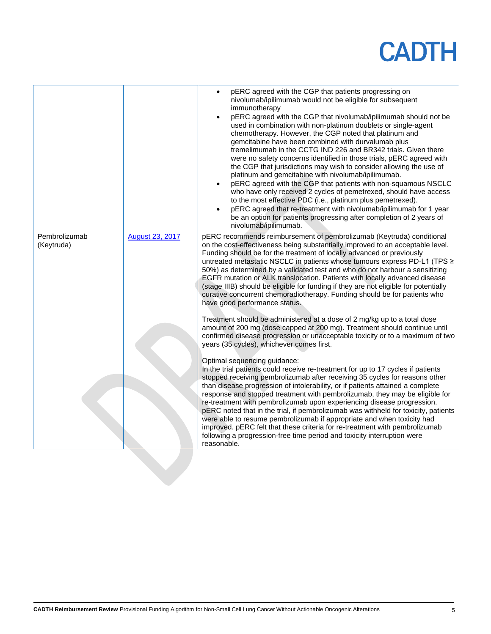|                             |                        | pERC agreed with the CGP that patients progressing on<br>$\bullet$<br>nivolumab/ipilimumab would not be eligible for subsequent<br>immunotherapy<br>pERC agreed with the CGP that nivolumab/ipilimumab should not be<br>$\bullet$<br>used in combination with non-platinum doublets or single-agent<br>chemotherapy. However, the CGP noted that platinum and<br>gemcitabine have been combined with durvalumab plus<br>tremelimumab in the CCTG IND 226 and BR342 trials. Given there<br>were no safety concerns identified in those trials, pERC agreed with<br>the CGP that jurisdictions may wish to consider allowing the use of<br>platinum and gemcitabine with nivolumab/ipilimumab.<br>pERC agreed with the CGP that patients with non-squamous NSCLC<br>$\bullet$<br>who have only received 2 cycles of pemetrexed, should have access<br>to the most effective PDC (i.e., platinum plus pemetrexed).<br>pERC agreed that re-treatment with nivolumab/ipilimumab for 1 year<br>$\bullet$ |
|-----------------------------|------------------------|----------------------------------------------------------------------------------------------------------------------------------------------------------------------------------------------------------------------------------------------------------------------------------------------------------------------------------------------------------------------------------------------------------------------------------------------------------------------------------------------------------------------------------------------------------------------------------------------------------------------------------------------------------------------------------------------------------------------------------------------------------------------------------------------------------------------------------------------------------------------------------------------------------------------------------------------------------------------------------------------------|
|                             |                        | be an option for patients progressing after completion of 2 years of<br>nivolumab/ipilimumab.                                                                                                                                                                                                                                                                                                                                                                                                                                                                                                                                                                                                                                                                                                                                                                                                                                                                                                      |
| Pembrolizumab<br>(Keytruda) | <b>August 23, 2017</b> | pERC recommends reimbursement of pembrolizumab (Keytruda) conditional<br>on the cost-effectiveness being substantially improved to an acceptable level.<br>Funding should be for the treatment of locally advanced or previously<br>untreated metastatic NSCLC in patients whose tumours express PD-L1 (TPS ≥<br>50%) as determined by a validated test and who do not harbour a sensitizing<br>EGFR mutation or ALK translocation. Patients with locally advanced disease<br>(stage IIIB) should be eligible for funding if they are not eligible for potentially<br>curative concurrent chemoradiotherapy. Funding should be for patients who<br>have good performance status.                                                                                                                                                                                                                                                                                                                   |
|                             |                        | Treatment should be administered at a dose of 2 mg/kg up to a total dose<br>amount of 200 mg (dose capped at 200 mg). Treatment should continue until<br>confirmed disease progression or unacceptable toxicity or to a maximum of two<br>years (35 cycles), whichever comes first.                                                                                                                                                                                                                                                                                                                                                                                                                                                                                                                                                                                                                                                                                                                |
|                             |                        | Optimal sequencing guidance:<br>In the trial patients could receive re-treatment for up to 17 cycles if patients<br>stopped receiving pembrolizumab after receiving 35 cycles for reasons other<br>than disease progression of intolerability, or if patients attained a complete<br>response and stopped treatment with pembrolizumab, they may be eligible for<br>re-treatment with pembrolizumab upon experiencing disease progression.<br>pERC noted that in the trial, if pembrolizumab was withheld for toxicity, patients<br>were able to resume pembrolizumab if appropriate and when toxicity had<br>improved. pERC felt that these criteria for re-treatment with pembrolizumab<br>following a progression-free time period and toxicity interruption were<br>reasonable.                                                                                                                                                                                                                |
|                             |                        |                                                                                                                                                                                                                                                                                                                                                                                                                                                                                                                                                                                                                                                                                                                                                                                                                                                                                                                                                                                                    |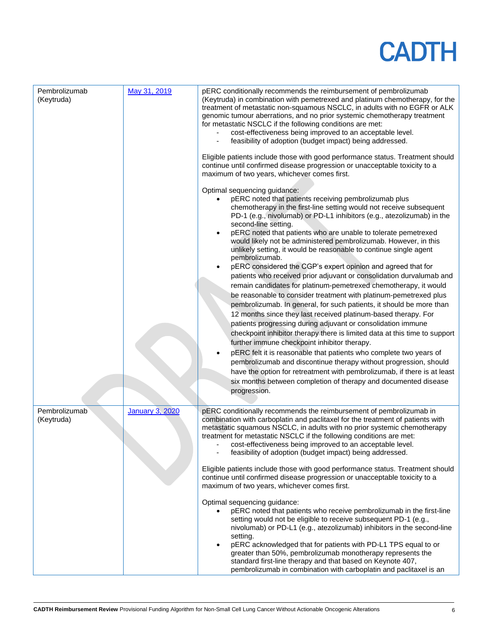| Pembrolizumab<br>(Keytruda) | May 31, 2019           | pERC conditionally recommends the reimbursement of pembrolizumab<br>(Keytruda) in combination with pemetrexed and platinum chemotherapy, for the<br>treatment of metastatic non-squamous NSCLC, in adults with no EGFR or ALK<br>genomic tumour aberrations, and no prior systemic chemotherapy treatment<br>for metastatic NSCLC if the following conditions are met:<br>cost-effectiveness being improved to an acceptable level.<br>feasibility of adoption (budget impact) being addressed.<br>Eligible patients include those with good performance status. Treatment should<br>continue until confirmed disease progression or unacceptable toxicity to a<br>maximum of two years, whichever comes first.<br>Optimal sequencing guidance:<br>pERC noted that patients receiving pembrolizumab plus<br>chemotherapy in the first-line setting would not receive subsequent<br>PD-1 (e.g., nivolumab) or PD-L1 inhibitors (e.g., atezolizumab) in the<br>second-line setting.<br>pERC noted that patients who are unable to tolerate pemetrexed<br>٠<br>would likely not be administered pembrolizumab. However, in this<br>unlikely setting, it would be reasonable to continue single agent<br>pembrolizumab.<br>pERC considered the CGP's expert opinion and agreed that for<br>patients who received prior adjuvant or consolidation durvalumab and<br>remain candidates for platinum-pemetrexed chemotherapy, it would<br>be reasonable to consider treatment with platinum-pemetrexed plus<br>pembrolizumab. In general, for such patients, it should be more than<br>12 months since they last received platinum-based therapy. For<br>patients progressing during adjuvant or consolidation immune<br>checkpoint inhibitor therapy there is limited data at this time to support<br>further immune checkpoint inhibitor therapy.<br>pERC felt it is reasonable that patients who complete two years of<br>pembrolizumab and discontinue therapy without progression, should<br>have the option for retreatment with pembrolizumab, if there is at least<br>six months between completion of therapy and documented disease |
|-----------------------------|------------------------|----------------------------------------------------------------------------------------------------------------------------------------------------------------------------------------------------------------------------------------------------------------------------------------------------------------------------------------------------------------------------------------------------------------------------------------------------------------------------------------------------------------------------------------------------------------------------------------------------------------------------------------------------------------------------------------------------------------------------------------------------------------------------------------------------------------------------------------------------------------------------------------------------------------------------------------------------------------------------------------------------------------------------------------------------------------------------------------------------------------------------------------------------------------------------------------------------------------------------------------------------------------------------------------------------------------------------------------------------------------------------------------------------------------------------------------------------------------------------------------------------------------------------------------------------------------------------------------------------------------------------------------------------------------------------------------------------------------------------------------------------------------------------------------------------------------------------------------------------------------------------------------------------------------------------------------------------------------------------------------------------------------------------------------------------------------------------------------------------------------------------------------|
|                             |                        | progression.                                                                                                                                                                                                                                                                                                                                                                                                                                                                                                                                                                                                                                                                                                                                                                                                                                                                                                                                                                                                                                                                                                                                                                                                                                                                                                                                                                                                                                                                                                                                                                                                                                                                                                                                                                                                                                                                                                                                                                                                                                                                                                                           |
| Pembrolizumab<br>(Keytruda) | <b>January 3, 2020</b> | pERC conditionally recommends the reimbursement of pembrolizumab in<br>combination with carboplatin and paclitaxel for the treatment of patients with<br>metastatic squamous NSCLC, in adults with no prior systemic chemotherapy<br>treatment for metastatic NSCLC if the following conditions are met:<br>cost-effectiveness being improved to an acceptable level.<br>feasibility of adoption (budget impact) being addressed.                                                                                                                                                                                                                                                                                                                                                                                                                                                                                                                                                                                                                                                                                                                                                                                                                                                                                                                                                                                                                                                                                                                                                                                                                                                                                                                                                                                                                                                                                                                                                                                                                                                                                                      |
|                             |                        | Eligible patients include those with good performance status. Treatment should<br>continue until confirmed disease progression or unacceptable toxicity to a<br>maximum of two years, whichever comes first.                                                                                                                                                                                                                                                                                                                                                                                                                                                                                                                                                                                                                                                                                                                                                                                                                                                                                                                                                                                                                                                                                                                                                                                                                                                                                                                                                                                                                                                                                                                                                                                                                                                                                                                                                                                                                                                                                                                           |
|                             |                        | Optimal sequencing guidance:<br>pERC noted that patients who receive pembrolizumab in the first-line<br>setting would not be eligible to receive subsequent PD-1 (e.g.,<br>nivolumab) or PD-L1 (e.g., atezolizumab) inhibitors in the second-line<br>setting.<br>pERC acknowledged that for patients with PD-L1 TPS equal to or<br>$\bullet$<br>greater than 50%, pembrolizumab monotherapy represents the<br>standard first-line therapy and that based on Keynote 407,<br>pembrolizumab in combination with carboplatin and paclitaxel is an                                                                                                                                                                                                                                                                                                                                                                                                                                                                                                                                                                                                                                                                                                                                                                                                                                                                                                                                                                                                                                                                                                                                                                                                                                                                                                                                                                                                                                                                                                                                                                                         |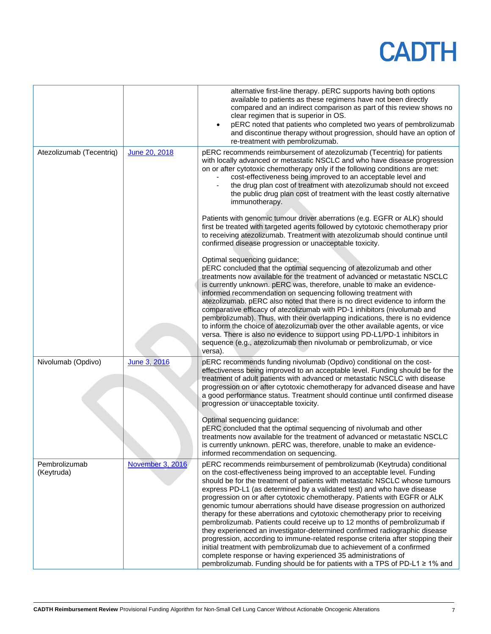|                             |                  | alternative first-line therapy. pERC supports having both options<br>available to patients as these regimens have not been directly<br>compared and an indirect comparison as part of this review shows no<br>clear regimen that is superior in OS.<br>pERC noted that patients who completed two years of pembrolizumab<br>$\bullet$<br>and discontinue therapy without progression, should have an option of<br>re-treatment with pembrolizumab.                                                                                                                                                                                                                                                                                                                                                                                                                                                                                                                                                                        |
|-----------------------------|------------------|---------------------------------------------------------------------------------------------------------------------------------------------------------------------------------------------------------------------------------------------------------------------------------------------------------------------------------------------------------------------------------------------------------------------------------------------------------------------------------------------------------------------------------------------------------------------------------------------------------------------------------------------------------------------------------------------------------------------------------------------------------------------------------------------------------------------------------------------------------------------------------------------------------------------------------------------------------------------------------------------------------------------------|
| Atezolizumab (Tecentriq)    | June 20, 2018    | pERC recommends reimbursement of atezolizumab (Tecentriq) for patients<br>with locally advanced or metastatic NSCLC and who have disease progression<br>on or after cytotoxic chemotherapy only if the following conditions are met:<br>cost-effectiveness being improved to an acceptable level and<br>the drug plan cost of treatment with atezolizumab should not exceed<br>the public drug plan cost of treatment with the least costly alternative<br>immunotherapy.                                                                                                                                                                                                                                                                                                                                                                                                                                                                                                                                                 |
|                             |                  | Patients with genomic tumour driver aberrations (e.g. EGFR or ALK) should<br>first be treated with targeted agents followed by cytotoxic chemotherapy prior<br>to receiving atezolizumab. Treatment with atezolizumab should continue until<br>confirmed disease progression or unacceptable toxicity.                                                                                                                                                                                                                                                                                                                                                                                                                                                                                                                                                                                                                                                                                                                    |
|                             |                  | Optimal sequencing guidance:<br>pERC concluded that the optimal sequencing of atezolizumab and other<br>treatments now available for the treatment of advanced or metastatic NSCLC<br>is currently unknown. pERC was, therefore, unable to make an evidence-<br>informed recommendation on sequencing following treatment with<br>atezolizumab. pERC also noted that there is no direct evidence to inform the<br>comparative efficacy of atezolizumab with PD-1 inhibitors (nivolumab and<br>pembrolizumab). Thus, with their overlapping indications, there is no evidence<br>to inform the choice of atezolizumab over the other available agents, or vice<br>versa. There is also no evidence to support using PD-L1/PD-1 inhibitors in<br>sequence (e.g., atezolizumab then nivolumab or pembrolizumab, or vice<br>versa).                                                                                                                                                                                           |
| Nivolumab (Opdivo)          | June 3, 2016     | pERC recommends funding nivolumab (Opdivo) conditional on the cost-<br>effectiveness being improved to an acceptable level. Funding should be for the<br>treatment of adult patients with advanced or metastatic NSCLC with disease<br>progression on or after cytotoxic chemotherapy for advanced disease and have<br>a good performance status. Treatment should continue until confirmed disease<br>progression or unacceptable toxicity.                                                                                                                                                                                                                                                                                                                                                                                                                                                                                                                                                                              |
|                             |                  | Optimal sequencing guidance:<br>pERC concluded that the optimal sequencing of nivolumab and other<br>treatments now available for the treatment of advanced or metastatic NSCLC<br>is currently unknown. pERC was, therefore, unable to make an evidence-<br>informed recommendation on sequencing.                                                                                                                                                                                                                                                                                                                                                                                                                                                                                                                                                                                                                                                                                                                       |
| Pembrolizumab<br>(Keytruda) | November 3, 2016 | pERC recommends reimbursement of pembrolizumab (Keytruda) conditional<br>on the cost-effectiveness being improved to an acceptable level. Funding<br>should be for the treatment of patients with metastatic NSCLC whose tumours<br>express PD-L1 (as determined by a validated test) and who have disease<br>progression on or after cytotoxic chemotherapy. Patients with EGFR or ALK<br>genomic tumour aberrations should have disease progression on authorized<br>therapy for these aberrations and cytotoxic chemotherapy prior to receiving<br>pembrolizumab. Patients could receive up to 12 months of pembrolizumab if<br>they experienced an investigator-determined confirmed radiographic disease<br>progression, according to immune-related response criteria after stopping their<br>initial treatment with pembrolizumab due to achievement of a confirmed<br>complete response or having experienced 35 administrations of<br>pembrolizumab. Funding should be for patients with a TPS of PD-L1 ≥ 1% and |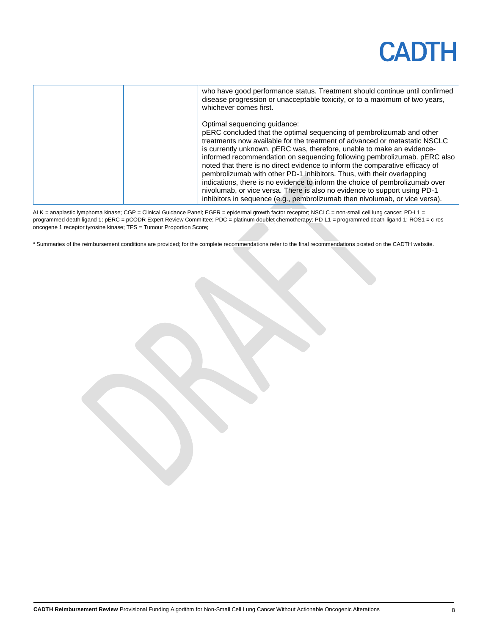| who have good performance status. Treatment should continue until confirmed<br>disease progression or unacceptable toxicity, or to a maximum of two years,<br>whichever comes first.                                                                                                                                                                                                                                                                                                                                                                                                                                                                                                                                                            |
|-------------------------------------------------------------------------------------------------------------------------------------------------------------------------------------------------------------------------------------------------------------------------------------------------------------------------------------------------------------------------------------------------------------------------------------------------------------------------------------------------------------------------------------------------------------------------------------------------------------------------------------------------------------------------------------------------------------------------------------------------|
| Optimal sequencing guidance:<br>pERC concluded that the optimal sequencing of pembrolizumab and other<br>treatments now available for the treatment of advanced or metastatic NSCLC<br>is currently unknown. pERC was, therefore, unable to make an evidence-<br>informed recommendation on sequencing following pembrolizumab. pERC also<br>noted that there is no direct evidence to inform the comparative efficacy of<br>pembrolizumab with other PD-1 inhibitors. Thus, with their overlapping<br>indications, there is no evidence to inform the choice of pembrolizumab over<br>nivolumab, or vice versa. There is also no evidence to support using PD-1<br>inhibitors in sequence (e.g., pembrolizumab then nivolumab, or vice versa). |

ALK = anaplastic lymphoma kinase; CGP = Clinical Guidance Panel; EGFR = epidermal growth factor receptor; NSCLC = non-small cell lung cancer; PD-L1 = programmed death ligand 1; pERC = pCODR Expert Review Committee; PDC = platinum doublet chemotherapy; PD-L1 = programmed death-ligand 1; ROS1 = c-ros oncogene 1 receptor tyrosine kinase; TPS = Tumour Proportion Score;

a Summaries of the reimbursement conditions are provided; for the complete recommendations refer to the final recommendations posted on the CADTH website.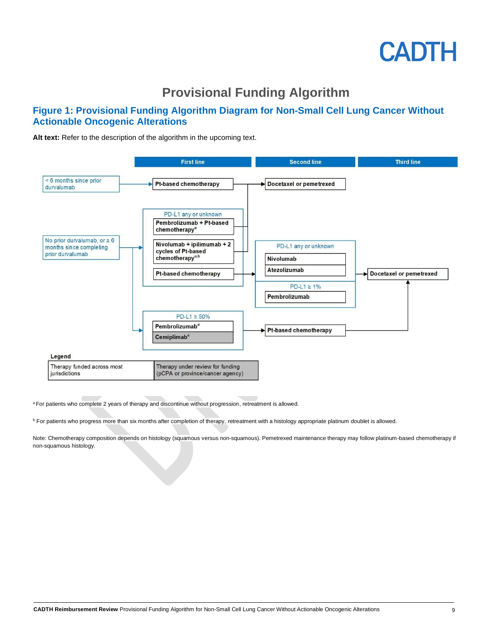#### **Provisional Funding Algorithm**

#### **Figure 1: Provisional Funding Algorithm Diagram for Non-Small Cell Lung Cancer Without Actionable Oncogenic Alterations**

Alt text: Refer to the description of the algorithm in the upcoming text.



<sup>a</sup> For patients who complete 2 years of therapy and discontinue without progression, retreatment is allowed.

**b** For patients who progress more than six months after completion of therapy, retreatment with a histology appropriate platinum doublet is allowed.

Note: Chemotherapy composition depends on histology (squamous versus non-squamous). Pemetrexed maintenance therapy may follow platinum-based chemotherapy if non-squamous histology.